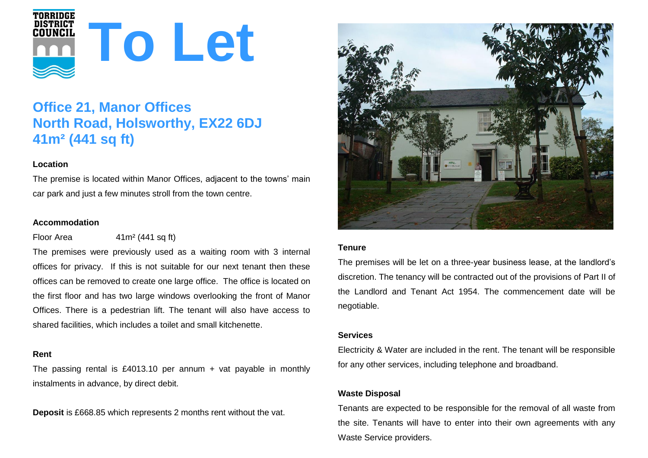

# **Office 21, Manor Offices North Road, Holsworthy, EX22 6DJ 41m² (441 sq ft)**

# **Location**

The premise is located within Manor Offices, adjacent to the towns' main car park and just a few minutes stroll from the town centre.

## **Accommodation**

Floor Area  $41 \text{ m}^2 (441 \text{ sq ft})$ 

The premises were previously used as a waiting room with 3 internal offices for privacy. If this is not suitable for our next tenant then these offices can be removed to create one large office. The office is located on the first floor and has two large windows overlooking the front of Manor Offices. There is a pedestrian lift. The tenant will also have access to shared facilities, which includes a toilet and small kitchenette.

## **Rent**

The passing rental is £4013.10 per annum + vat payable in monthly instalments in advance, by direct debit.

**Deposit** is £668.85 which represents 2 months rent without the vat.



## **Tenure**

The premises will be let on a three-year business lease, at the landlord's discretion. The tenancy will be contracted out of the provisions of Part II of the Landlord and Tenant Act 1954. The commencement date will be negotiable.

# **Services**

Electricity & Water are included in the rent. The tenant will be responsible for any other services, including telephone and broadband.

# **Waste Disposal**

Tenants are expected to be responsible for the removal of all waste from the site. Tenants will have to enter into their own agreements with any Waste Service providers.